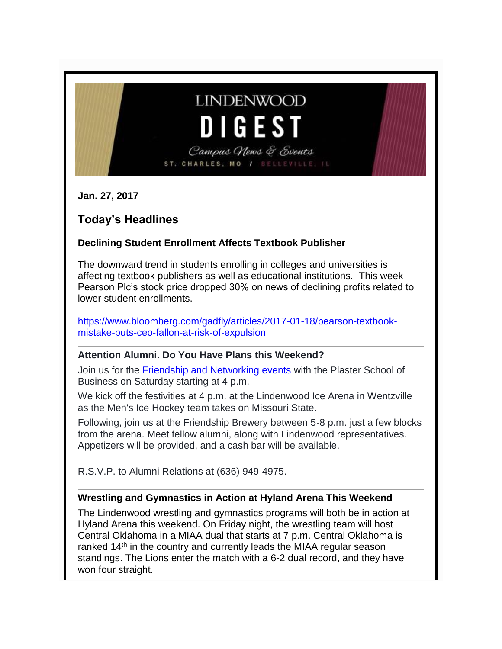# **LINDENWOOD** D I G E S T

Campus News & Events ST. CHARLES, MO / BELLEVILLE,

**Jan. 27, 2017**

# **Today's Headlines**

# **Declining Student Enrollment Affects Textbook Publisher**

The downward trend in students enrolling in colleges and universities is affecting textbook publishers as well as educational institutions. This week Pearson Plc's stock price dropped 30% on news of declining profits related to lower student enrollments.

[https://www.bloomberg.com/gadfly/articles/2017-01-18/pearson-textbook](https://www.bloomberg.com/gadfly/articles/2017-01-18/pearson-textbook-mistake-puts-ceo-fallon-at-risk-of-expulsion)[mistake-puts-ceo-fallon-at-risk-of-expulsion](https://www.bloomberg.com/gadfly/articles/2017-01-18/pearson-textbook-mistake-puts-ceo-fallon-at-risk-of-expulsion)

#### **Attention Alumni. Do You Have Plans this Weekend?**

Join us for the [Friendship and Networking events](http://felix.lindenwood.edu/newsletter/2017_01/alumni_psbe.pdf) with the Plaster School of Business on Saturday starting at 4 p.m.

We kick off the festivities at 4 p.m. at the Lindenwood Ice Arena in Wentzville as the Men's Ice Hockey team takes on Missouri State.

Following, join us at the Friendship Brewery between 5-8 p.m. just a few blocks from the arena. Meet fellow alumni, along with Lindenwood representatives. Appetizers will be provided, and a cash bar will be available.

R.S.V.P. to Alumni Relations at (636) 949-4975.

# **Wrestling and Gymnastics in Action at Hyland Arena This Weekend**

The Lindenwood wrestling and gymnastics programs will both be in action at Hyland Arena this weekend. On Friday night, the wrestling team will host Central Oklahoma in a MIAA dual that starts at 7 p.m. Central Oklahoma is ranked 14<sup>th</sup> in the country and currently leads the MIAA regular season standings. The Lions enter the match with a 6-2 dual record, and they have won four straight.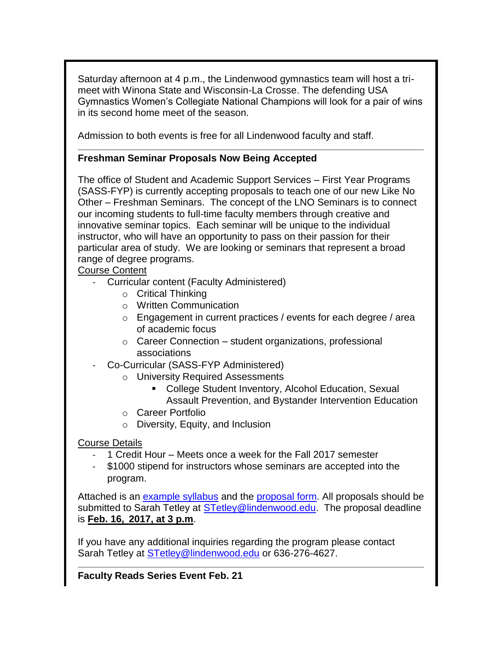Saturday afternoon at 4 p.m., the Lindenwood gymnastics team will host a trimeet with Winona State and Wisconsin-La Crosse. The defending USA Gymnastics Women's Collegiate National Champions will look for a pair of wins in its second home meet of the season.

Admission to both events is free for all Lindenwood faculty and staff.

#### **Freshman Seminar Proposals Now Being Accepted**

The office of Student and Academic Support Services – First Year Programs (SASS-FYP) is currently accepting proposals to teach one of our new Like No Other – Freshman Seminars. The concept of the LNO Seminars is to connect our incoming students to full-time faculty members through creative and innovative seminar topics. Each seminar will be unique to the individual instructor, who will have an opportunity to pass on their passion for their particular area of study. We are looking or seminars that represent a broad range of degree programs.

### Course Content

- Curricular content (Faculty Administered)
	- o Critical Thinking
	- o Written Communication
	- o Engagement in current practices / events for each degree / area of academic focus
	- o Career Connection student organizations, professional associations
- Co-Curricular (SASS-FYP Administered)
	- o University Required Assessments
		- College Student Inventory, Alcohol Education, Sexual Assault Prevention, and Bystander Intervention Education
	- o Career Portfolio
	- o Diversity, Equity, and Inclusion

#### Course Details

- 1 Credit Hour Meets once a week for the Fall 2017 semester
- \$1000 stipend for instructors whose seminars are accepted into the program.

Attached is an [example syllabus](http://felix.lindenwood.edu/newsletter/2017_01/lno_syllabus.pdf) and the [proposal form.](http://felix.lindenwood.edu/newsletter/2017_01/lul_proposal.pdf) All proposals should be submitted to Sarah Tetley at [STetley@lindenwood.edu.](mailto:STetley@lindenwood.edu) The proposal deadline is **Feb. 16, 2017, at 3 p.m**.

If you have any additional inquiries regarding the program please contact Sarah Tetley at **STetley@lindenwood.edu** or 636-276-4627.

**Faculty Reads Series Event Feb. 21**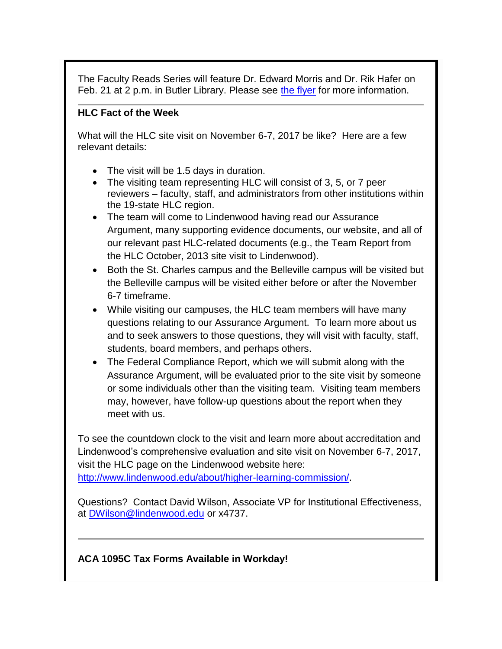The Faculty Reads Series will feature Dr. Edward Morris and Dr. Rik Hafer on Feb. 21 at 2 p.m. in Butler Library. Please see [the flyer](http://felix.lindenwood.edu/newsletter/2017_01/faculty_reads.pdf) for more information.

#### **HLC Fact of the Week**

What will the HLC site visit on November 6-7, 2017 be like? Here are a few relevant details:

- The visit will be 1.5 days in duration.
- The visiting team representing HLC will consist of 3, 5, or 7 peer reviewers – faculty, staff, and administrators from other institutions within the 19-state HLC region.
- The team will come to Lindenwood having read our Assurance Argument, many supporting evidence documents, our website, and all of our relevant past HLC-related documents (e.g., the Team Report from the HLC October, 2013 site visit to Lindenwood).
- Both the St. Charles campus and the Belleville campus will be visited but the Belleville campus will be visited either before or after the November 6-7 timeframe.
- While visiting our campuses, the HLC team members will have many questions relating to our Assurance Argument. To learn more about us and to seek answers to those questions, they will visit with faculty, staff, students, board members, and perhaps others.
- The Federal Compliance Report, which we will submit along with the Assurance Argument, will be evaluated prior to the site visit by someone or some individuals other than the visiting team. Visiting team members may, however, have follow-up questions about the report when they meet with us.

To see the countdown clock to the visit and learn more about accreditation and Lindenwood's comprehensive evaluation and site visit on November 6-7, 2017, visit the HLC page on the Lindenwood website here:

[http://www.lindenwood.edu/about/higher-learning-commission/.](http://www.lindenwood.edu/about/higher-learning-commission/)

Questions? Contact David Wilson, Associate VP for Institutional Effectiveness, at [DWilson@lindenwood.edu](mailto:DWilson@lindenwood.edu) or x4737.

**ACA 1095C Tax Forms Available in Workday!**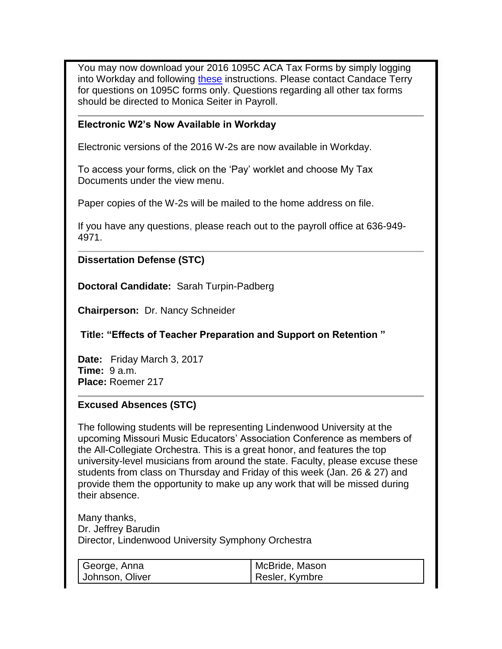You may now download your 2016 1095C ACA Tax Forms by simply logging into Workday and following [these](http://felix.lindenwood.edu/newsletter/2017_01/acainstructions.pdf) instructions. Please contact Candace Terry for questions on 1095C forms only. Questions regarding all other tax forms should be directed to Monica Seiter in Payroll.

#### **Electronic W2's Now Available in Workday**

Electronic versions of the 2016 W-2s are now available in Workday.

To access your forms, click on the 'Pay' worklet and choose My Tax Documents under the view menu.

Paper copies of the W-2s will be mailed to the home address on file.

If you have any questions, please reach out to the payroll office at 636-949- 4971.

#### **Dissertation Defense (STC)**

**Doctoral Candidate:** Sarah Turpin-Padberg

**Chairperson:** Dr. Nancy Schneider

**Title: "Effects of Teacher Preparation and Support on Retention "**

**Date:** Friday March 3, 2017 **Time:** 9 a.m. **Place:** Roemer 217

#### **Excused Absences (STC)**

The following students will be representing Lindenwood University at the upcoming Missouri Music Educators' Association Conference as members of the All-Collegiate Orchestra. This is a great honor, and features the top university-level musicians from around the state. Faculty, please excuse these students from class on Thursday and Friday of this week (Jan. 26 & 27) and provide them the opportunity to make up any work that will be missed during their absence.

Many thanks, Dr. Jeffrey Barudin Director, Lindenwood University Symphony Orchestra

| George, Anna    | McBride, Mason |
|-----------------|----------------|
| Johnson, Oliver | Resler, Kymbre |